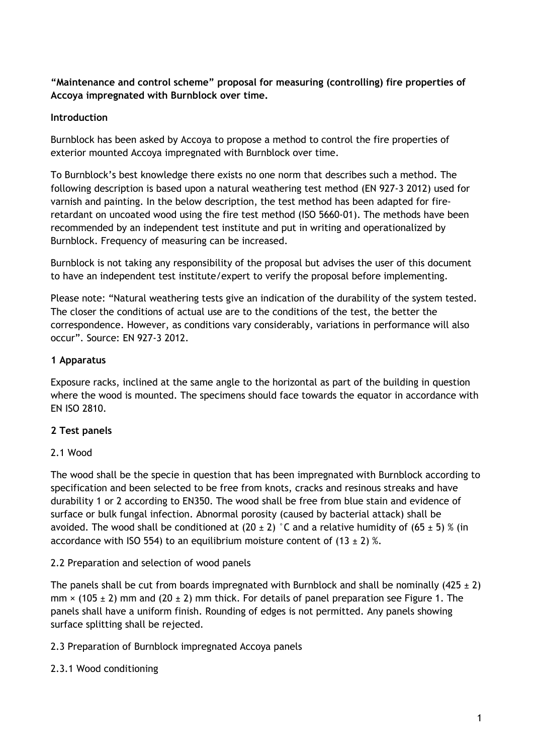## **"Maintenance and control scheme" proposal for measuring (controlling) fire properties of Accoya impregnated with Burnblock over time.**

## **Introduction**

Burnblock has been asked by Accoya to propose a method to control the fire properties of exterior mounted Accoya impregnated with Burnblock over time.

To Burnblock's best knowledge there exists no one norm that describes such a method. The following description is based upon a natural weathering test method (EN 927-3 2012) used for varnish and painting. In the below description, the test method has been adapted for fireretardant on uncoated wood using the fire test method (ISO 5660-01). The methods have been recommended by an independent test institute and put in writing and operationalized by Burnblock. Frequency of measuring can be increased.

Burnblock is not taking any responsibility of the proposal but advises the user of this document to have an independent test institute/expert to verify the proposal before implementing.

Please note: "Natural weathering tests give an indication of the durability of the system tested. The closer the conditions of actual use are to the conditions of the test, the better the correspondence. However, as conditions vary considerably, variations in performance will also occur". Source: EN 927-3 2012.

## **1 Apparatus**

Exposure racks, inclined at the same angle to the horizontal as part of the building in question where the wood is mounted. The specimens should face towards the equator in accordance with EN ISO 2810.

# **2 Test panels**

# 2.1 Wood

The wood shall be the specie in question that has been impregnated with Burnblock according to specification and been selected to be free from knots, cracks and resinous streaks and have durability 1 or 2 according to EN350. The wood shall be free from blue stain and evidence of surface or bulk fungal infection. Abnormal porosity (caused by bacterial attack) shall be avoided. The wood shall be conditioned at (20  $\pm$  2) °C and a relative humidity of (65  $\pm$  5) % (in accordance with ISO 554) to an equilibrium moisture content of  $(13 \pm 2)$  %.

# 2.2 Preparation and selection of wood panels

The panels shall be cut from boards impregnated with Burnblock and shall be nominally (425  $\pm$  2)  $mm \times (105 \pm 2)$  mm and (20  $\pm 2$ ) mm thick. For details of panel preparation see Figure 1. The panels shall have a uniform finish. Rounding of edges is not permitted. Any panels showing surface splitting shall be rejected.

# 2.3 Preparation of Burnblock impregnated Accoya panels

# 2.3.1 Wood conditioning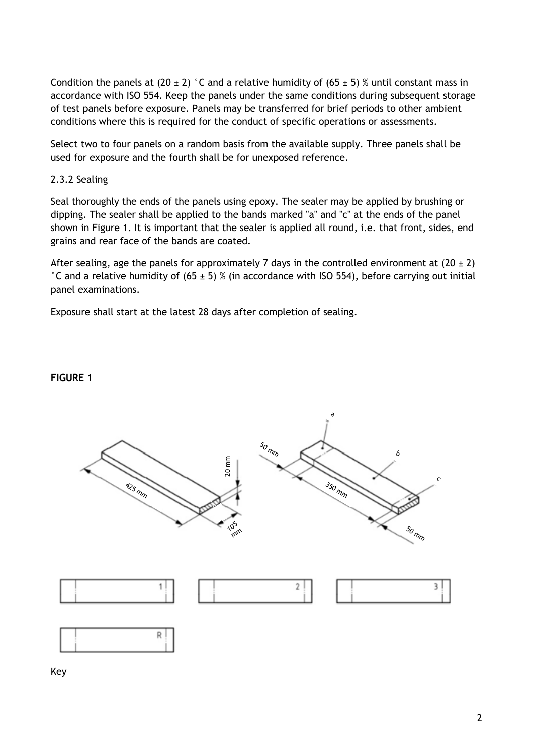Condition the panels at (20  $\pm$  2) °C and a relative humidity of (65  $\pm$  5) % until constant mass in accordance with ISO 554. Keep the panels under the same conditions during subsequent storage of test panels before exposure. Panels may be transferred for brief periods to other ambient conditions where this is required for the conduct of specific operations or assessments.

Select two to four panels on a random basis from the available supply. Three panels shall be used for exposure and the fourth shall be for unexposed reference.

### 2.3.2 Sealing

Seal thoroughly the ends of the panels using epoxy. The sealer may be applied by brushing or dipping. The sealer shall be applied to the bands marked "a" and "c" at the ends of the panel shown in Figure 1. It is important that the sealer is applied all round, i.e. that front, sides, end grains and rear face of the bands are coated.

After sealing, age the panels for approximately 7 days in the controlled environment at  $(20 \pm 2)$  $\degree$ C and a relative humidity of (65 ± 5) % (in accordance with ISO 554), before carrying out initial panel examinations.

Exposure shall start at the latest 28 days after completion of sealing.

#### a  $\mathcal{S}_0$ הוחי<br>ה b 20 mm  $\sum_{\mathbf{z}}$  $\sum_{350}$ c425 mm 3<sub>50 mm</sub> 15القالم m.<br>الموجد m $\mathcal{S}_0$ mm  $\sqrt{2}$ mהחו<sup>ח 50</sup> mm 1  $\overline{c}$ 3 R

## **FIGURE 1**

Key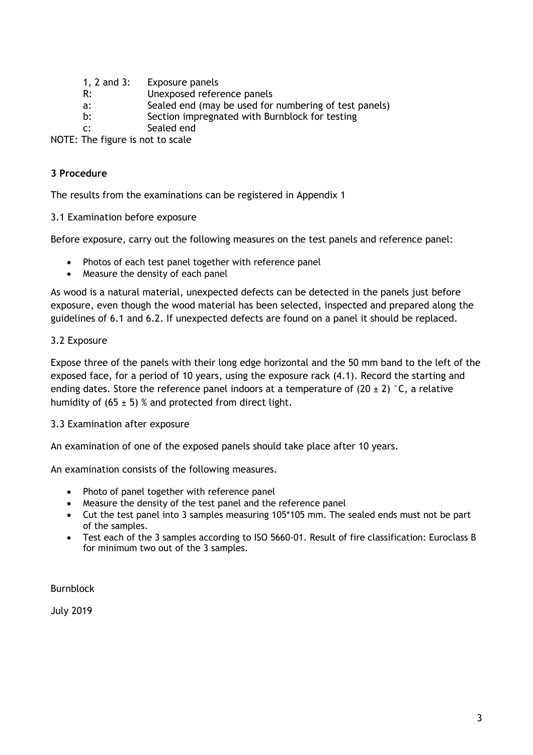| 1, 2 and $3:$  | Exposure panels                                       |
|----------------|-------------------------------------------------------|
| R:             | Unexposed reference panels                            |
| a:             | Sealed end (may be used for numbering of test panels) |
| b:             | Section impregnated with Burnblock for testing        |
| $\mathsf{C}$ : | Sealed end                                            |

NOTE: The figure is not to scale

### **3 Procedure**

The results from the examinations can be registered in Appendix 1

3.1 Examination before exposure

Before exposure, carry out the following measures on the test panels and reference panel:

- Photos of each test panel together with reference panel
- Measure the density of each panel

As wood is a natural material, unexpected defects can be detected in the panels just before exposure, even though the wood material has been selected, inspected and prepared along the guidelines of 6.1 and 6.2. If unexpected defects are found on a panel it should be replaced.

### 3.2 Exposure

Expose three of the panels with their long edge horizontal and the 50 mm band to the left of the exposed face, for a period of 10 years, using the exposure rack (4.1). Record the starting and ending dates. Store the reference panel indoors at a temperature of  $(20 \pm 2)$  °C, a relative humidity of  $(65 \pm 5)$  % and protected from direct light.

#### 3.3 Examination after exposure

An examination of one of the exposed panels should take place after 10 years.

An examination consists of the following measures.

- Photo of panel together with reference panel
- Measure the density of the test panel and the reference panel
- Cut the test panel into 3 samples measuring 105\*105 mm. The sealed ends must not be part of the samples.
- Test each of the 3 samples according to ISO 5660-01. Result of fire classification: Euroclass B for minimum two out of the 3 samples.

Burnblock

July 2019